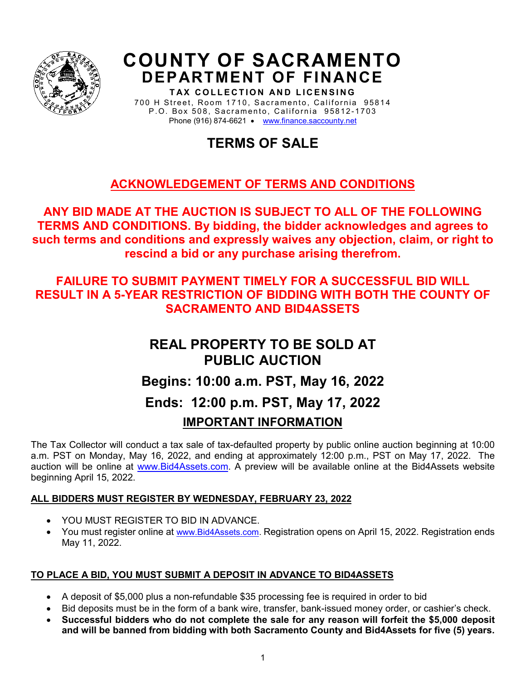

# **COUNTY OF SACRAMENTO DEPARTMENT OF FINANCE**

**TAX COLLECTION AND LICENSING** 700 H Street, Room 1710, Sacramento, California 95814 P.O. Box 508 , Sacramento, California 95812 -1703 Phone (916) 874-6621 • [www.finance.saccounty.net](http://www.finance.saccounty.net/)

# **TERMS OF SALE**

# **ACKNOWLEDGEMENT OF TERMS AND CONDITIONS**

**ANY BID MADE AT THE AUCTION IS SUBJECT TO ALL OF THE FOLLOWING TERMS AND CONDITIONS. By bidding, the bidder acknowledges and agrees to such terms and conditions and expressly waives any objection, claim, or right to rescind a bid or any purchase arising therefrom.**

# **FAILURE TO SUBMIT PAYMENT TIMELY FOR A SUCCESSFUL BID WILL RESULT IN A 5-YEAR RESTRICTION OF BIDDING WITH BOTH THE COUNTY OF SACRAMENTO AND BID4ASSETS**

# **REAL PROPERTY TO BE SOLD AT PUBLIC AUCTION Begins: 10:00 a.m. PST, May 16, 2022 Ends: 12:00 p.m. PST, May 17, 2022 IMPORTANT INFORMATION**

The Tax Collector will conduct a tax sale of tax-defaulted property by public online auction beginning at 10:00 a.m. PST on Monday, May 16, 2022, and ending at approximately 12:00 p.m., PST on May 17, 2022. The auction will be online at [www.Bid4Assets.com.](http://www.bid4assets.com/) A preview will be available online at the Bid4Assets website beginning April 15, 2022.

# **ALL BIDDERS MUST REGISTER BY WEDNESDAY, FEBRUARY 23, 2022**

- YOU MUST REGISTER TO BID IN ADVANCE.
- You must register online at [www.Bid4Assets.com.](http://www.bid4assets.com/) Registration opens on April 15, 2022. Registration ends May 11, 2022.

# **TO PLACE A BID, YOU MUST SUBMIT A DEPOSIT IN ADVANCE TO BID4ASSETS**

- A deposit of \$5,000 plus a non-refundable \$35 processing fee is required in order to bid
- Bid deposits must be in the form of a bank wire, transfer, bank-issued money order, or cashier's check.
- **Successful bidders who do not complete the sale for any reason will forfeit the \$5,000 deposit and will be banned from bidding with both Sacramento County and Bid4Assets for five (5) years.**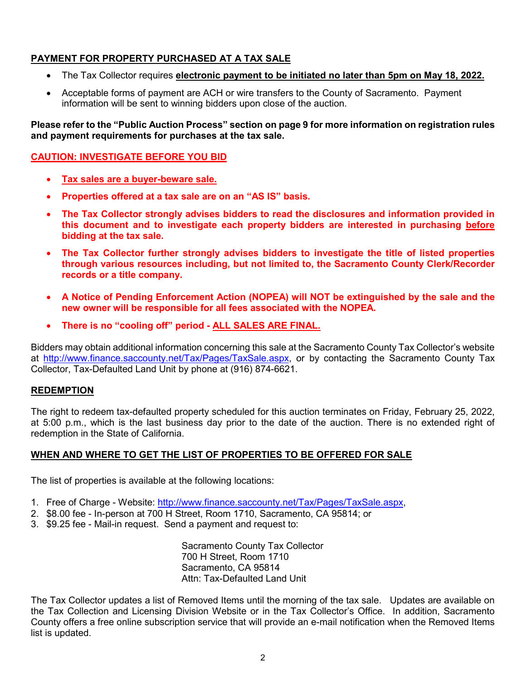# **PAYMENT FOR PROPERTY PURCHASED AT A TAX SALE**

- The Tax Collector requires **electronic payment to be initiated no later than 5pm on May 18, 2022.**
- Acceptable forms of payment are ACH or wire transfers to the County of Sacramento. Payment information will be sent to winning bidders upon close of the auction.

**Please refer to the "Public Auction Process" section on page 9 for more information on registration rules and payment requirements for purchases at the tax sale.** 

# **CAUTION: INVESTIGATE BEFORE YOU BID**

- **Tax sales are a buyer-beware sale.**
- **Properties offered at a tax sale are on an "AS IS" basis.**
- **The Tax Collector strongly advises bidders to read the disclosures and information provided in this document and to investigate each property bidders are interested in purchasing before bidding at the tax sale.**
- **The Tax Collector further strongly advises bidders to investigate the title of listed properties through various resources including, but not limited to, the Sacramento County Clerk/Recorder records or a title company.**
- **A Notice of Pending Enforcement Action (NOPEA) will NOT be extinguished by the sale and the new owner will be responsible for all fees associated with the NOPEA.**
- **There is no "cooling off" period - ALL SALES ARE FINAL.**

Bidders may obtain additional information concerning this sale at the Sacramento County Tax Collector's website at [http://www.finance.saccounty.net/Tax/Pages/TaxSale.aspx,](http://www.finance.saccounty.net/Tax/Pages/TaxSale.aspx) or by contacting the Sacramento County Tax Collector, Tax-Defaulted Land Unit by phone at (916) 874-6621.

# **REDEMPTION**

The right to redeem tax-defaulted property scheduled for this auction terminates on Friday, February 25, 2022, at 5:00 p.m., which is the last business day prior to the date of the auction. There is no extended right of redemption in the State of California.

# **WHEN AND WHERE TO GET THE LIST OF PROPERTIES TO BE OFFERED FOR SALE**

The list of properties is available at the following locations:

- 1. Free of Charge Website: [http://www.finance.saccounty.net/Tax/Pages/TaxSale.aspx,](http://www.finance.saccounty.net/Tax/Pages/TaxSale.aspx)
- 2. \$8.00 fee In-person at 700 H Street, Room 1710, Sacramento, CA 95814; or
- 3. \$9.25 fee Mail-in request. Send a payment and request to:

Sacramento County Tax Collector 700 H Street, Room 1710 Sacramento, CA 95814 Attn: Tax-Defaulted Land Unit

The Tax Collector updates a list of Removed Items until the morning of the tax sale. Updates are available on the Tax Collection and Licensing Division Website or in the Tax Collector's Office. In addition, Sacramento County offers a free online subscription service that will provide an e-mail notification when the Removed Items list is updated.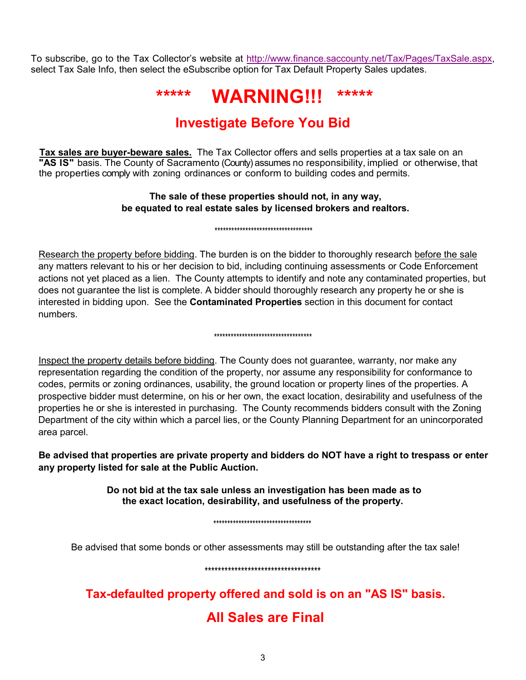To subscribe, go to the Tax Collector's website at [http://www.finance.saccounty.net/Tax/Pages/TaxSale.aspx,](http://www.finance.saccounty.net/Tax/Pages/TaxSale.aspx) select Tax Sale Info, then select the eSubscribe option for Tax Default Property Sales updates.

# **\*\*\*\*\* WARNING!!! \*\*\*\*\***

# **Investigate Before You Bid**

**Tax sales are buyer-beware sales.** The Tax Collector offers and sells properties at a tax sale on an **"AS IS"** basis. The County of Sacramento (County) assumes no responsibility, implied or otherwise, that the properties comply with zoning ordinances or conform to building codes and permits.

# **The sale of these properties should not, in any way, be equated to real estate sales by licensed brokers and realtors.**

\*\*\*\*\*\*\*\*\*\*\*\*\*\*\*\*\*\*\*\*\*\*\*\*\*\*\*\*\*\*\*\*\*\*\*

Research the property before bidding. The burden is on the bidder to thoroughly research before the sale any matters relevant to his or her decision to bid, including continuing assessments or Code Enforcement actions not yet placed as a lien. The County attempts to identify and note any contaminated properties, but does not guarantee the list is complete. A bidder should thoroughly research any property he or she is interested in bidding upon. See the **Contaminated Properties** section in this document for contact numbers.

#### \*\*\*\*\*\*\*\*\*\*\*\*\*\*\*\*\*\*\*\*\*\*\*\*\*\*\*\*\*\*\*\*\*\*\*

Inspect the property details before bidding. The County does not guarantee, warranty, nor make any representation regarding the condition of the property, nor assume any responsibility for conformance to codes, permits or zoning ordinances, usability, the ground location or property lines of the properties. A prospective bidder must determine, on his or her own, the exact location, desirability and usefulness of the properties he or she is interested in purchasing. The County recommends bidders consult with the Zoning Department of the city within which a parcel lies, or the County Planning Department for an unincorporated area parcel.

**Be advised that properties are private property and bidders do NOT have a right to trespass or enter any property listed for sale at the Public Auction.**

> **Do not bid at the tax sale unless an investigation has been made as to the exact location, desirability, and usefulness of the property.**

> > \*\*\*\*\*\*\*\*\*\*\*\*\*\*\*\*\*\*\*\*\*\*\*\*\*\*\*\*\*\*\*\*\*\*\*

Be advised that some bonds or other assessments may still be outstanding after the tax sale!

\*\*\*\*\*\*\*\*\*\*\*\*\*\*\*\*\*\*\*\*\*\*\*\*\*\*\*\*\*\*\*\*\*\*\*

**Tax-defaulted property offered and sold is on an "AS IS" basis. All Sales are Final**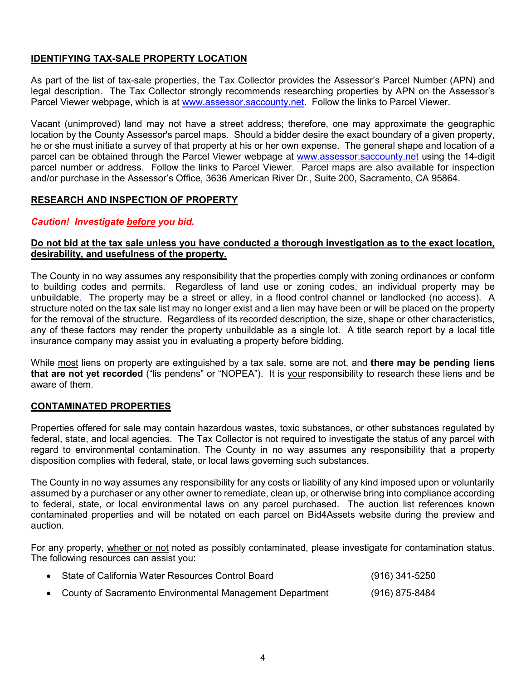# **IDENTIFYING TAX-SALE PROPERTY LOCATION**

As part of the list of tax-sale properties, the Tax Collector provides the Assessor's Parcel Number (APN) and legal description. The Tax Collector strongly recommends researching properties by APN on the Assessor's Parcel Viewer webpage, which is at [www.assessor.saccounty.net.](http://www.assessor.saccounty.net/) Follow the links to Parcel Viewer.

Vacant (unimproved) land may not have a street address; therefore, one may approximate the geographic location by the County Assessor's parcel maps. Should a bidder desire the exact boundary of a given property, he or she must initiate a survey of that property at his or her own expense. The general shape and location of a parcel can be obtained through the Parcel Viewer webpage at [www.assessor.saccounty.net](http://www.assessor.saccounty.net/) using the 14-digit parcel number or address. Follow the links to Parcel Viewer. Parcel maps are also available for inspection and/or purchase in the Assessor's Office, 3636 American River Dr., Suite 200, Sacramento, CA 95864.

# **RESEARCH AND INSPECTION OF PROPERTY**

# *Caution! Investigate before you bid.*

# **Do not bid at the tax sale unless you have conducted a thorough investigation as to the exact location, desirability, and usefulness of the property.**

The County in no way assumes any responsibility that the properties comply with zoning ordinances or conform to building codes and permits. Regardless of land use or zoning codes, an individual property may be unbuildable. The property may be a street or alley, in a flood control channel or landlocked (no access). A structure noted on the tax sale list may no longer exist and a lien may have been or will be placed on the property for the removal of the structure. Regardless of its recorded description, the size, shape or other characteristics, any of these factors may render the property unbuildable as a single lot. A title search report by a local title insurance company may assist you in evaluating a property before bidding.

While most liens on property are extinguished by a tax sale, some are not, and **there may be pending liens that are not yet recorded** ("lis pendens" or "NOPEA"). It is your responsibility to research these liens and be aware of them.

# **CONTAMINATED PROPERTIES**

Properties offered for sale may contain hazardous wastes, toxic substances, or other substances regulated by federal, state, and local agencies. The Tax Collector is not required to investigate the status of any parcel with regard to environmental contamination. The County in no way assumes any responsibility that a property disposition complies with federal, state, or local laws governing such substances.

The County in no way assumes any responsibility for any costs or liability of any kind imposed upon or voluntarily assumed by a purchaser or any other owner to remediate, clean up, or otherwise bring into compliance according to federal, state, or local environmental laws on any parcel purchased. The auction list references known contaminated properties and will be notated on each parcel on Bid4Assets website during the preview and auction.

For any property, whether or not noted as possibly contaminated, please investigate for contamination status. The following resources can assist you:

| • State of California Water Resources Control Board        | (916) 341-5250 |
|------------------------------------------------------------|----------------|
| • County of Sacramento Environmental Management Department | (916) 875-8484 |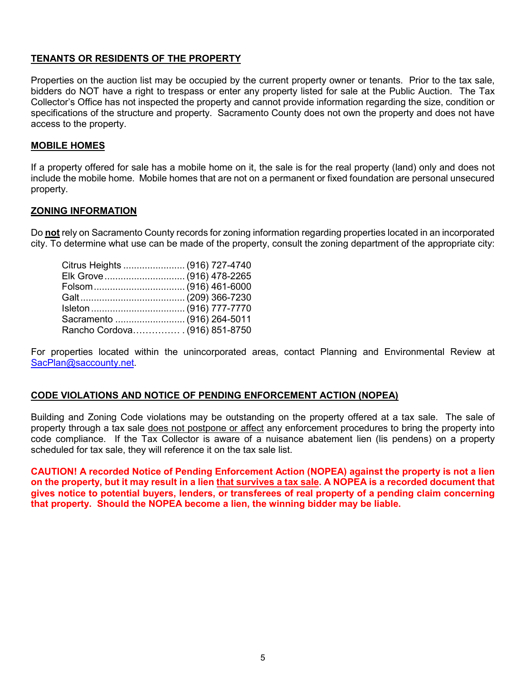# **TENANTS OR RESIDENTS OF THE PROPERTY**

Properties on the auction list may be occupied by the current property owner or tenants. Prior to the tax sale, bidders do NOT have a right to trespass or enter any property listed for sale at the Public Auction. The Tax Collector's Office has not inspected the property and cannot provide information regarding the size, condition or specifications of the structure and property. Sacramento County does not own the property and does not have access to the property.

### **MOBILE HOMES**

If a property offered for sale has a mobile home on it, the sale is for the real property (land) only and does not include the mobile home. Mobile homes that are not on a permanent or fixed foundation are personal unsecured property.

#### **ZONING INFORMATION**

Do **not** rely on Sacramento County records for zoning information regarding properties located in an incorporated city. To determine what use can be made of the property, consult the zoning department of the appropriate city:

| Citrus Heights  (916) 727-4740                       |  |
|------------------------------------------------------|--|
| Elk Grove  (916) 478-2265                            |  |
| Folsom (916)                                461-6000 |  |
|                                                      |  |
|                                                      |  |
| Sacramento  (916) 264-5011                           |  |
| Rancho Cordova (916) 851-8750                        |  |

For properties located within the unincorporated areas, contact Planning and Environmental Review at [SacPlan@saccounty.net.](mailto:SacPlan@saccounty.net)

#### **CODE VIOLATIONS AND NOTICE OF PENDING ENFORCEMENT ACTION (NOPEA)**

Building and Zoning Code violations may be outstanding on the property offered at a tax sale. The sale of property through a tax sale does not postpone or affect any enforcement procedures to bring the property into code compliance. If the Tax Collector is aware of a nuisance abatement lien (lis pendens) on a property scheduled for tax sale, they will reference it on the tax sale list.

**CAUTION! A recorded Notice of Pending Enforcement Action (NOPEA) against the property is not a lien on the property, but it may result in a lien that survives a tax sale. A NOPEA is a recorded document that gives notice to potential buyers, lenders, or transferees of real property of a pending claim concerning that property. Should the NOPEA become a lien, the winning bidder may be liable.**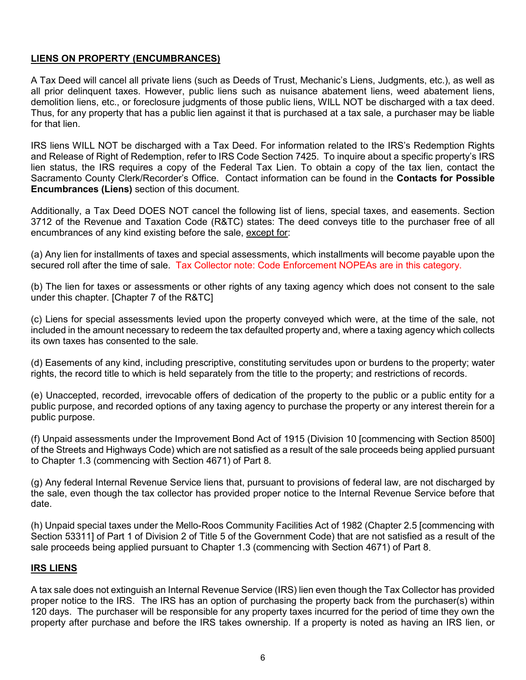# **LIENS ON PROPERTY (ENCUMBRANCES)**

A Tax Deed will cancel all private liens (such as Deeds of Trust, Mechanic's Liens, Judgments, etc.), as well as all prior delinquent taxes. However, public liens such as nuisance abatement liens, weed abatement liens, demolition liens, etc., or foreclosure judgments of those public liens, WILL NOT be discharged with a tax deed. Thus, for any property that has a public lien against it that is purchased at a tax sale, a purchaser may be liable for that lien.

IRS liens WILL NOT be discharged with a Tax Deed. For information related to the IRS's Redemption Rights and Release of Right of Redemption, refer to IRS Code Section 7425. To inquire about a specific property's IRS lien status, the IRS requires a copy of the Federal Tax Lien. To obtain a copy of the tax lien, contact the Sacramento County Clerk/Recorder's Office. Contact information can be found in the **Contacts for Possible Encumbrances (Liens)** section of this document.

Additionally, a Tax Deed DOES NOT cancel the following list of liens, special taxes, and easements. Section 3712 of the Revenue and Taxation Code (R&TC) states: The deed conveys title to the purchaser free of all encumbrances of any kind existing before the sale, except for:

(a) Any lien for installments of taxes and special assessments, which installments will become payable upon the secured roll after the time of sale. Tax Collector note: Code Enforcement NOPEAs are in this category.

(b) The lien for taxes or assessments or other rights of any taxing agency which does not consent to the sale under this chapter. [Chapter 7 of the R&TC]

(c) Liens for special assessments levied upon the property conveyed which were, at the time of the sale, not included in the amount necessary to redeem the tax defaulted property and, where a taxing agency which collects its own taxes has consented to the sale.

(d) Easements of any kind, including prescriptive, constituting servitudes upon or burdens to the property; water rights, the record title to which is held separately from the title to the property; and restrictions of records.

(e) Unaccepted, recorded, irrevocable offers of dedication of the property to the public or a public entity for a public purpose, and recorded options of any taxing agency to purchase the property or any interest therein for a public purpose.

(f) Unpaid assessments under the Improvement Bond Act of 1915 (Division 10 [commencing with Section 8500] of the Streets and Highways Code) which are not satisfied as a result of the sale proceeds being applied pursuant to Chapter 1.3 (commencing with Section 4671) of Part 8.

(g) Any federal Internal Revenue Service liens that, pursuant to provisions of federal law, are not discharged by the sale, even though the tax collector has provided proper notice to the Internal Revenue Service before that date.

(h) Unpaid special taxes under the Mello-Roos Community Facilities Act of 1982 (Chapter 2.5 [commencing with Section 53311] of Part 1 of Division 2 of Title 5 of the Government Code) that are not satisfied as a result of the sale proceeds being applied pursuant to Chapter 1.3 (commencing with Section 4671) of Part 8.

# **IRS LIENS**

A tax sale does not extinguish an Internal Revenue Service (IRS) lien even though the Tax Collector has provided proper notice to the IRS. The IRS has an option of purchasing the property back from the purchaser(s) within 120 days. The purchaser will be responsible for any property taxes incurred for the period of time they own the property after purchase and before the IRS takes ownership. If a property is noted as having an IRS lien, or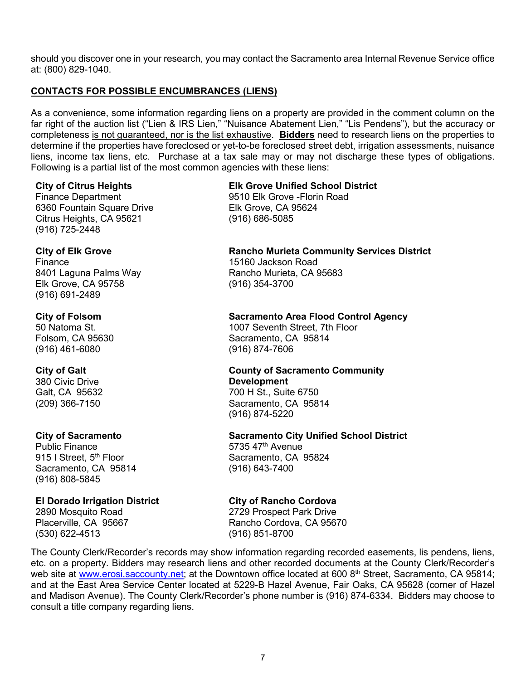should you discover one in your research, you may contact the Sacramento area Internal Revenue Service office at: (800) 829-1040.

# **CONTACTS FOR POSSIBLE ENCUMBRANCES (LIENS)**

As a convenience, some information regarding liens on a property are provided in the comment column on the far right of the auction list ("Lien & IRS Lien," "Nuisance Abatement Lien," "Lis Pendens"), but the accuracy or completeness is not guaranteed, nor is the list exhaustive. **Bidders** need to research liens on the properties to determine if the properties have foreclosed or yet-to-be foreclosed street debt, irrigation assessments, nuisance liens, income tax liens, etc. Purchase at a tax sale may or may not discharge these types of obligations. Following is a partial list of the most common agencies with these liens:

#### **City of Citrus Heights**

Finance Department 6360 Fountain Square Drive Citrus Heights, CA 95621 (916) 725-2448

#### **City of Elk Grove**

Finance 8401 Laguna Palms Way Elk Grove, CA 95758 (916) 691-2489

#### **City of Folsom**

50 Natoma St. Folsom, CA 95630 (916) 461-6080

# **City of Galt**

380 Civic Drive Galt, CA 95632 (209) 366-7150

# **City of Sacramento**

Public Finance 915 | Street, 5<sup>th</sup> Floor Sacramento, CA 95814 (916) 808-5845

# **El Dorado Irrigation District**

2890 Mosquito Road Placerville, CA 95667 (530) 622-4513

# **Elk Grove Unified School District**

9510 Elk Grove -Florin Road Elk Grove, CA 95624 (916) 686-5085

#### **Rancho Murieta Community Services District**

15160 Jackson Road Rancho Murieta, CA 95683 (916) 354-3700

#### **Sacramento Area Flood Control Agency**

1007 Seventh Street, 7th Floor Sacramento, CA 95814 (916) 874-7606

#### **County of Sacramento Community Development**

700 H St., Suite 6750 Sacramento, CA 95814 (916) 874-5220

# **Sacramento City Unified School District**

5735 47th Avenue Sacramento, CA 95824 (916) 643-7400

# **City of Rancho Cordova**

2729 Prospect Park Drive Rancho Cordova, CA 95670 (916) 851-8700

The County Clerk/Recorder's records may show information regarding recorded easements, lis pendens, liens, etc. on a property. Bidders may research liens and other recorded documents at the County Clerk/Recorder's web site at [www.erosi.saccounty.net;](http://www.erosi.saccounty.net/) at the Downtown office located at 600 8<sup>th</sup> Street, Sacramento, CA 95814; and at the East Area Service Center located at 5229-B Hazel Avenue, Fair Oaks, CA 95628 (corner of Hazel and Madison Avenue). The County Clerk/Recorder's phone number is (916) 874-6334. Bidders may choose to consult a title company regarding liens.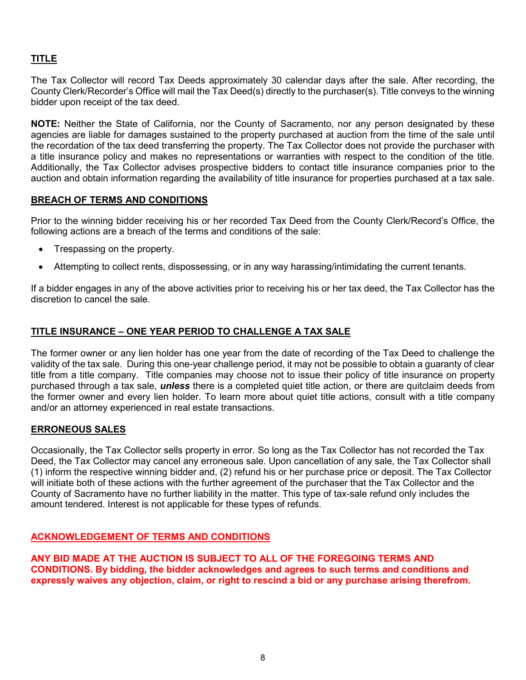# **TITLE**

The Tax Collector will record Tax Deeds approximately 30 calendar days after the sale. After recording, the County Clerk/Recorder's Office will mail the Tax Deed(s) directly to the purchaser(s). Title conveys to the winning bidder upon receipt of the tax deed.

**NOTE:** Neither the State of California, nor the County of Sacramento, nor any person designated by these agencies are liable for damages sustained to the property purchased at auction from the time of the sale until the recordation of the tax deed transferring the property. The Tax Collector does not provide the purchaser with a title insurance policy and makes no representations or warranties with respect to the condition of the title. Additionally, the Tax Collector advises prospective bidders to contact title insurance companies prior to the auction and obtain information regarding the availability of title insurance for properties purchased at a tax sale.

# **BREACH OF TERMS AND CONDITIONS**

Prior to the winning bidder receiving his or her recorded Tax Deed from the County Clerk/Record's Office, the following actions are a breach of the terms and conditions of the sale:

- Trespassing on the property.
- Attempting to collect rents, dispossessing, or in any way harassing/intimidating the current tenants.

If a bidder engages in any of the above activities prior to receiving his or her tax deed, the Tax Collector has the discretion to cancel the sale.

#### **TITLE INSURANCE – ONE YEAR PERIOD TO CHALLENGE A TAX SALE**

The former owner or any lien holder has one year from the date of recording of the Tax Deed to challenge the validity of the tax sale. During this one-year challenge period, it may not be possible to obtain a guaranty of clear title from a title company. Title companies may choose not to issue their policy of title insurance on property purchased through a tax sale, *unless* there is a completed quiet title action, or there are quitclaim deeds from the former owner and every lien holder. To learn more about quiet title actions, consult with a title company and/or an attorney experienced in real estate transactions.

# **ERRONEOUS SALES**

Occasionally, the Tax Collector sells property in error. So long as the Tax Collector has not recorded the Tax Deed, the Tax Collector may cancel any erroneous sale. Upon cancellation of any sale, the Tax Collector shall (1) inform the respective winning bidder and, (2) refund his or her purchase price or deposit. The Tax Collector will initiate both of these actions with the further agreement of the purchaser that the Tax Collector and the County of Sacramento have no further liability in the matter. This type of tax-sale refund only includes the amount tendered. Interest is not applicable for these types of refunds.

#### **ACKNOWLEDGEMENT OF TERMS AND CONDITIONS**

**ANY BID MADE AT THE AUCTION IS SUBJECT TO ALL OF THE FOREGOING TERMS AND CONDITIONS. By bidding, the bidder acknowledges and agrees to such terms and conditions and expressly waives any objection, claim, or right to rescind a bid or any purchase arising therefrom.**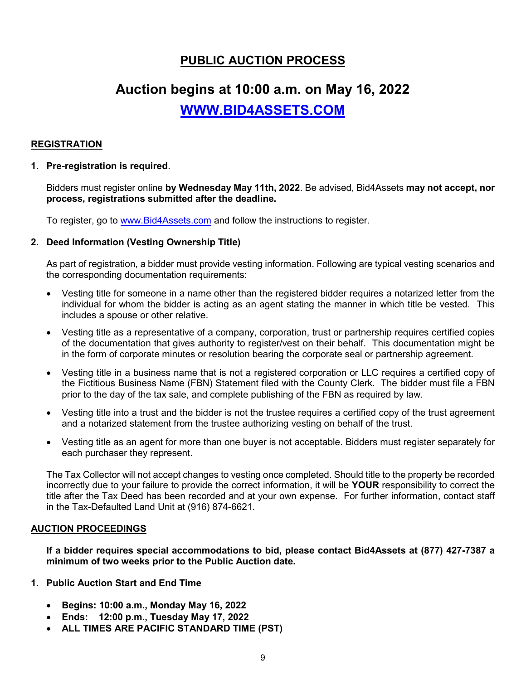# **PUBLIC AUCTION PROCESS**

# **Auction begins at 10:00 a.m. on May 16, 2022**

**[WWW.BID4ASSETS.COM](http://www.bid4assets.com/)**

# **REGISTRATION**

### **1. Pre-registration is required**.

Bidders must register online **by Wednesday May 11th, 2022**. Be advised, Bid4Assets **may not accept, nor process, registrations submitted after the deadline.**

To register, go to [www.Bid4Assets.com](http://www.bid4assets.com/) and follow the instructions to register.

#### **2. Deed Information (Vesting Ownership Title)**

As part of registration, a bidder must provide vesting information. Following are typical vesting scenarios and the corresponding documentation requirements:

- Vesting title for someone in a name other than the registered bidder requires a notarized letter from the individual for whom the bidder is acting as an agent stating the manner in which title be vested. This includes a spouse or other relative.
- Vesting title as a representative of a company, corporation, trust or partnership requires certified copies of the documentation that gives authority to register/vest on their behalf. This documentation might be in the form of corporate minutes or resolution bearing the corporate seal or partnership agreement.
- Vesting title in a business name that is not a registered corporation or LLC requires a certified copy of the Fictitious Business Name (FBN) Statement filed with the County Clerk. The bidder must file a FBN prior to the day of the tax sale, and complete publishing of the FBN as required by law.
- Vesting title into a trust and the bidder is not the trustee requires a certified copy of the trust agreement and a notarized statement from the trustee authorizing vesting on behalf of the trust.
- Vesting title as an agent for more than one buyer is not acceptable. Bidders must register separately for each purchaser they represent.

The Tax Collector will not accept changes to vesting once completed. Should title to the property be recorded incorrectly due to your failure to provide the correct information, it will be **YOUR** responsibility to correct the title after the Tax Deed has been recorded and at your own expense. For further information, contact staff in the Tax-Defaulted Land Unit at (916) 874-6621.

#### **AUCTION PROCEEDINGS**

**If a bidder requires special accommodations to bid, please contact Bid4Assets at (877) 427-7387 a minimum of two weeks prior to the Public Auction date.**

- **1. Public Auction Start and End Time**
	- **Begins: 10:00 a.m., Monday May 16, 2022**
	- **Ends: 12:00 p.m., Tuesday May 17, 2022**
	- **ALL TIMES ARE PACIFIC STANDARD TIME (PST)**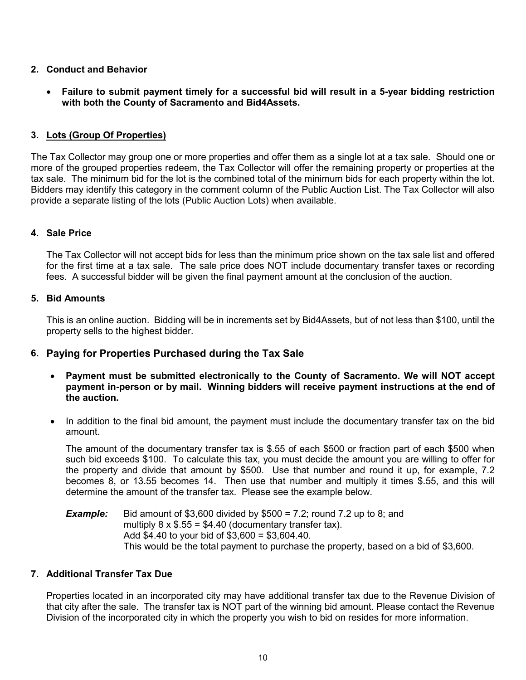# **2. Conduct and Behavior**

• **Failure to submit payment timely for a successful bid will result in a 5-year bidding restriction with both the County of Sacramento and Bid4Assets.**

# **3. Lots (Group Of Properties)**

The Tax Collector may group one or more properties and offer them as a single lot at a tax sale. Should one or more of the grouped properties redeem, the Tax Collector will offer the remaining property or properties at the tax sale. The minimum bid for the lot is the combined total of the minimum bids for each property within the lot. Bidders may identify this category in the comment column of the Public Auction List. The Tax Collector will also provide a separate listing of the lots (Public Auction Lots) when available.

# **4. Sale Price**

The Tax Collector will not accept bids for less than the minimum price shown on the tax sale list and offered for the first time at a tax sale. The sale price does NOT include documentary transfer taxes or recording fees. A successful bidder will be given the final payment amount at the conclusion of the auction.

# **5. Bid Amounts**

This is an online auction. Bidding will be in increments set by Bid4Assets, but of not less than \$100, until the property sells to the highest bidder.

# **6. Paying for Properties Purchased during the Tax Sale**

- **Payment must be submitted electronically to the County of Sacramento. We will NOT accept payment in-person or by mail. Winning bidders will receive payment instructions at the end of the auction.**
- In addition to the final bid amount, the payment must include the documentary transfer tax on the bid amount.

The amount of the documentary transfer tax is \$.55 of each \$500 or fraction part of each \$500 when such bid exceeds \$100. To calculate this tax, you must decide the amount you are willing to offer for the property and divide that amount by \$500. Use that number and round it up, for example, 7.2 becomes 8, or 13.55 becomes 14. Then use that number and multiply it times \$.55, and this will determine the amount of the transfer tax. Please see the example below.

**Example:** Bid amount of \$3,600 divided by \$500 = 7.2; round 7.2 up to 8; and multiply  $8 \times $.55 = $4.40$  (documentary transfer tax). Add \$4.40 to your bid of \$3,600 = \$3,604.40. This would be the total payment to purchase the property, based on a bid of \$3,600.

# **7. Additional Transfer Tax Due**

Properties located in an incorporated city may have additional transfer tax due to the Revenue Division of that city after the sale. The transfer tax is NOT part of the winning bid amount. Please contact the Revenue Division of the incorporated city in which the property you wish to bid on resides for more information.